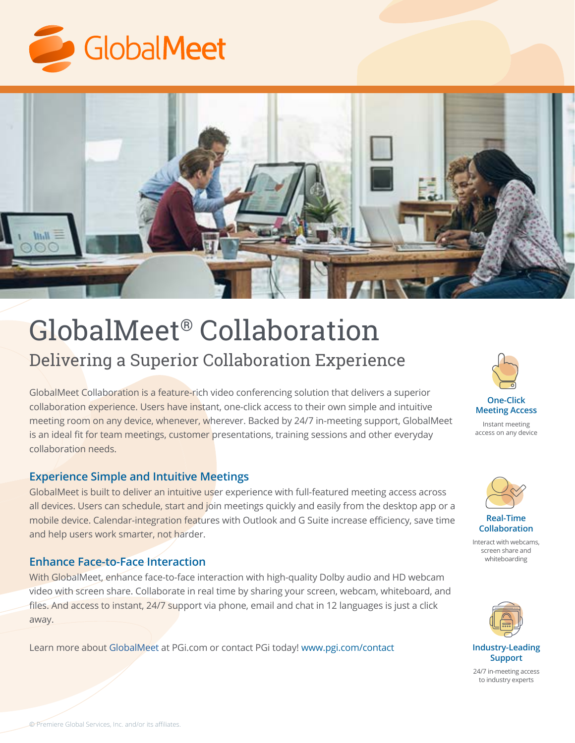



# GlobalMeet® Collaboration Delivering a Superior Collaboration Experience

GlobalMeet Collaboration is a feature-rich video conferencing solution that delivers a superior collaboration experience. Users have instant, one-click access to their own simple and intuitive meeting room on any device, whenever, wherever. Backed by 24/7 in-meeting support, GlobalMeet is an ideal fit for team meetings, customer presentations, training sessions and other everyday collaboration needs.

#### **Experience Simple and Intuitive Meetings**

GlobalMeet is built to deliver an intuitive user experience with full-featured meeting access across all devices. Users can schedule, start and join meetings quickly and easily from the desktop app or a mobile device. Calendar-integration features with Outlook and G Suite increase efficiency, save time and help users work smarter, not harder.

#### **Enhance Face-to-Face Interaction**

With GlobalMeet, enhance face-to-face interaction with high-quality Dolby audio and HD webcam video with screen share. Collaborate in real time by sharing your screen, webcam, whiteboard, and files. And access to instant, 24/7 support via phone, email and chat in 12 languages is just a click away.

Learn more about [GlobalMeet](https://www.pgi.com/products/globalmeet/collaboration/) at PGi.com or contact PGi today! [www.pgi.com/contact](http://www.pgi.com/contact)



**Meeting Access**

Instant meeting access on any device



**Real-Time Collaboration**

Interact with webcams, screen share and whiteboarding



**Industry-Leading Support**

24/7 in-meeting access to industry experts